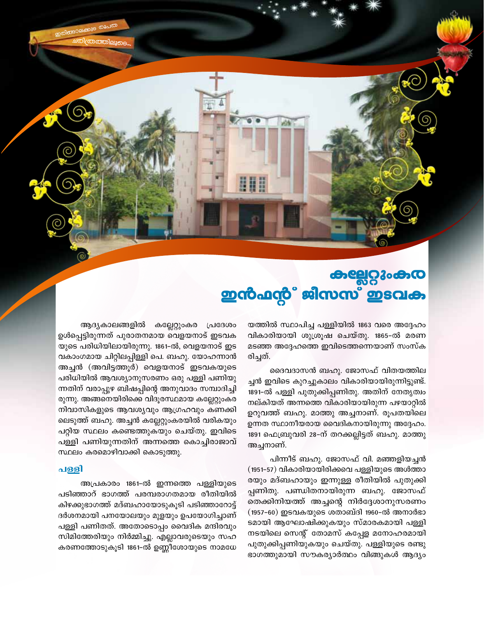കല്ലേറ്റുംകര **ഇൻഫൻ്റ്** ജിസസ് ഇടവക

> യത്തിൽ സ്ഥാപിച്ച പള്ളിയിൽ 1863 വരെ അദ്ദേഹം വികാരിയായി ശുശ്രൂഷ ചെയ്തു. 1865-ൽ മരണ മടഞ്ഞ അദ്ദേഹത്തെ ഇവിടെത്തന്നെയാണ് സംസ്ക രിച്ചത്.

> ദൈവദാസൻ ബഹു. ജോസഫ് വിതയത്തില ച്ചൻ ഇവിടെ കുറച്ചുകാലം വികാരിയായിരുന്നിട്ടുണ്ട്. 1891-ൽ പള്ളി പുതുക്കിപ്പണിതു. അതിന് നേതൃത്വം നല്കിയത് അന്നത്തെ വികാരിയായിരുന്ന പഴയാറ്റിൽ ഉറുവത്ത് ബഹു. മാത്തു അച്ചനാണ്. രൂപതയിലെ ഉന്നത സ്ഥാനീയരായ വൈദികനായിരുന്നു അദ്ദേഹം. 1891 ഫെബ്രുവരി 28-ന് തറക്കല്ലിട്ടത് ബഹു. മാത്തു അച്ചനാണ്.

> പിന്നീട് ബഹു. ജോസഫ് വി. മഞ്ഞളിയച്ചൻ (1951-57) വികാരിയായിരിക്കവെ പള്ളിയുടെ അൾത്താ രയും മദ്ബഹായും ഇന്നുള്ള രീതിയിൽ പുതുക്കി പ്പണിതു. പണ്ഡിതനായിരുന്ന ബഹു. ജോസഫ് തെക്കിനിയത്ത് അച്ചന്റെ നിർദ്ദേശാനുസരണം (1957-60) ഇടവകയുടെ ശതാബ്ദി 1960-ൽ അനാർഭാ ടമായി ആഘോഷിക്കുകയും സ്മാരകമായി പള്ളി നടയിലെ സെന്റ് തോമസ് കപ്പേള മനോഹരമായി പുതുക്കിപ്പണിയുകയും ചെയ്തു. പള്ളിയുടെ രണ്ടു ഭാഗത്തുമായി സൗകര്യാർത്ഥം വിങ്ങുകൾ ആദ്യം

ആദ്യകാലങ്ങളിൽ കല്ലേറ്റുംകര പ്രദേശം ഉൾപ്പെട്ടിരുന്നത് പുരാതനമായ വെളയനാട് ഇടവക യുടെ പരിധിയിലായിരുന്നു. 1861–ൽ, വെളയനാട് ഇട വകാംഗമായ ചിറ്റിലപ്പിള്ളി പെ. ബഹു. യോഹന്നാൻ അച്ചൻ (അവിട്ടത്തൂർ) വെളയനാട് ഇടവകയുടെ പരിധിയിൽ ആവശ്യാനുസരണം ഒരു പള്ളി പണിയു ന്നതിന് വരാപ്പുഴ ബിഷപ്പിന്റെ അനുവാദം സമ്പാദിച്ചി രുന്നു. അങ്ങനെയിരിക്കെ വിദൂരസ്ഥമായ കല്ലേറ്റുംകര നിവാസികളുടെ ആവശ്യവും ആഗ്രഹവും കണക്കി ലെടുത്ത് ബഹു. അച്ചൻ കല്ലേറ്റുംകരയിൽ വരികയും പറ്റിയ സ്ഥലം കണ്ടെത്തുകയും ചെയ്തു. ഇവിടെ പള്ളി പണിയുന്നതിന് അന്നത്തെ കൊച്ചിരാജാവ് സ്ഥലം കരമൊഴിവാക്കി കൊടുത്തു.

#### പള്ളി

അപ്രകാരം 1861-ൽ ഇന്നത്തെ പള്ളിയുടെ പടിഞ്ഞാറ് ഭാഗത്ത് പരമ്പരാഗതമായ രീതിയിൽ കിഴക്കുഭാഗത്ത് മദ്ബഹായോടുകൂടി പടിഞ്ഞാറോട്ട് ദർശനമായി പനയോലയും മുളയും ഉപയോഗിച്ചാണ് പള്ളി പണിതത്. അതോടൊപ്പം വൈദിക മന്ദിരവും സിമിത്തേരിയും നിർമ്മിച്ചു. എല്ലാവരുടെയും സഹ കരണത്തോടുകൂടി 1861-ൽ ഉണ്ണീശോയുടെ നാമധേ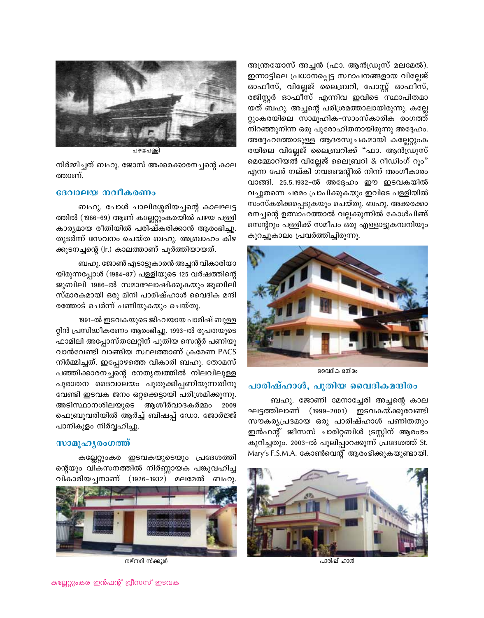

പഴയപങ്

നിർമ്മിച്ചത് ബഹു. ജോസ് അക്കരക്കാരനച്ചന്റെ കാല ത്താണ്.

#### ദേവാലയ നവീകരണം

ബഹു. പോൾ ചാലിശ്ശേരിയച്ചന്റെ കാലഘട്ട ത്തിൽ (1966–69) ആണ് കല്ലേറ്റുംകരയിൽ പഴയ പള്ളി കാര്യമായ രീതിയിൽ പരിഷ്കരിക്കാൻ ആരംഭിച്ചു. തുടർന്ന് സേവനം ചെയ്ത ബഹു. അബ്രാഹം കിഴ ക്കൂടനച്ചന്റെ (Jr.) കാലത്താണ് പൂർത്തിയായത്.

ബഹു. ജോൺ എടാട്ടുകാരൻ അച്ചൻ വികാരിയാ യിരുന്നപ്പോൾ (1984–87) പള്ളിയുടെ 125 വർഷത്തിന്റെ ജൂബിലി 1986-ൽ സമാഘോഷിക്കുകയും ജൂബിലി സ്മാരകമായി ഒരു മിനി പാരിഷ്ഹാൾ വൈദിക മന്ദി രത്തോട് ചെർന്ന് പണിയുകയും ചെയ്തു.

1991-ൽ ഇടവകയുടെ ജിഹ്വയായ പാരിഷ് ബുള്ള റ്റിൻ പ്രസിദ്ധീകരണം ആരംഭിച്ചു. 1993-ൽ രൂപതയുടെ ഫാമിലി അപ്പോസ്തലേറ്റിന് പുതിയ സെന്റർ പണിയു വാൻവേണ്ടി വാങ്ങിയ സ്ഥലത്താണ് ക്രമേണ PACS നിർമ്മിച്ചത്. ഇപ്പോഴത്തെ വികാരി ബഹു. തോമസ് പഞ്ഞിക്കാരനച്ചന്റെ നേതൃത്വത്തിൽ നിലവിലുള്ള പുരാതന ദൈവാലയം പുതുക്കിപ്പണിയുന്നതിനു വേണ്ടി ഇടവക ജനം ഒറ്റക്കെട്ടായി പരിശ്രമിക്കുന്നു. അടിസ്ഥാനശിലയുടെ ആശീർവാദകർമ്മം 2009 ഫെബ്രുവരിയിൽ ആർച്ച് ബിഷപ്പ് ഡോ. ജോർജ്ജ് പാനികുളം നിർവ്വഹിച്ചു.

#### സാമൂഹൃരംഗത്ത്

കല്ലേറ്റുംകര ഇടവകയുടെയും പ്രദേശത്തി ന്റെയും വികസനത്തിൽ നിർണ്ണായക പങ്കുവഹിച്ച വികാരിയച്ചനാണ് (1926-1932) മലമേൽ ബഹു.



നഴ്സറി സ്ക്കൂൾ

അന്ത്രയോസ് അച്ചൻ (ഫാ. ആൻഡ്രൂസ് മലമേൽ). ഇന്നാട്ടിലെ പ്രധാനപ്പെട്ട സ്ഥാപനങ്ങളായ വില്ലേജ് ഓഫീസ്, വില്ലേജ് ലൈബ്രറി, പോസ്റ്റ് ഓഫീസ്, രജിസ്റ്റർ ഓഫീസ് എന്നിവ ഇവിടെ സ്ഥാപിതമാ യത് ബഹു. അച്ചന്റെ പരിശ്രമത്താലായിരുന്നു. കല്ലേ റ്റുംകരയിലെ സാമൂഹിക-സാംസ്കാരിക രംഗത്ത് നിറഞ്ഞുനിന്ന ഒരു പുരോഹിതനായിരുന്നു അദ്ദേഹം. അദ്ദേഹത്തോടുള്ള ആദരസൂചകമായി കല്ലേറ്റുംക രയിലെ വില്ലേജ് ലൈബ്രറിക്ക് "ഫാ. ആൻഡ്രൂസ് മെമ്മോറിയൽ വില്ലേജ് ലൈബ്രറി & റീഡിംഗ് റൂം" എന്ന പേര് നല്കി ഗവണ്മെന്റിൽ നിന്ന് അംഗീകാരം വാങ്ങി. 25.5.1932-ൽ അദ്ദേഹം ഈ ഇടവകയിൽ വച്ചുതന്നെ ചരമം പ്രാപിക്കുകയും ഇവിടെ പള്ളിയിൽ സംസ്കരിക്കപ്പെടുകയും ചെയ്തു. ബഹു. അക്കരക്കാ രനച്ചന്റെ ഉത്സാഹത്താൽ വല്ലക്കുന്നിൽ കോൾപിങ്ങ് സെന്ററും പള്ളിക്ക് സമീപം ഒരു എള്ളാട്ടുകമ്പനിയും കുറച്ചുകാലം പ്രവർത്തിച്ചിരുന്നു.



വൈദിക മന്ദിരം

### പാരിഷ്ഹാൾ, പുതിയ വൈദികമന്ദിരം

ബഹു. ജോണി മേനാച്ചേരി അച്ചന്റെ കാല ഘട്ടത്തിലാണ് (1999–2001) ഇടവകയ്ക്കുവേണ്ടി സൗകര്യപ്രദമായ ഒരു പാരിഷ്ഹാൾ പണിതതും ഇൻഫന്റ് ജീസസ് ചാരിറ്റബിൾ ട്രസ്റ്റിന് ആരംഭം കുറിച്ചതും. 2003-ൽ പുലിപ്പാറക്കുന്ന് പ്രദേശത്ത് St. Mary's F.S.M.A. കോൺവെന്റ് ആരംഭിക്കുകയുണ്ടായി.



പാരിഷ് ഹാൾ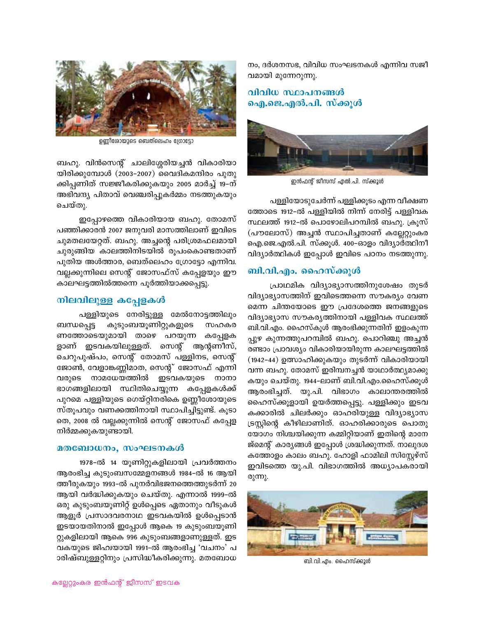നം, ദർശനസഭ, വിവിധ സംഘടനകൾ എന്നിവ സജീ വമായി മുന്നേറുന്നു.

### വിവിധ സ്ഥാപനങ്ങൾ ഐ.ജെ.എൽ.പി. സ്ക്കൂൾ



ഇൻഫന്റ് ജീസസ് എൽ.പി. സ്ക്കൂൾ

പള്ളിയോടുചേർന്ന് പള്ളിക്കൂടം എന്ന വീക്ഷണ ത്തോടെ 1912-ൽ പള്ളിയിൽ നിന്ന് നേരിട്ട് പള്ളിവക സ്ഥലത്ത് 1912-ൽ പൊഴോലിപറമ്പിൽ ബഹു. ക്രൂസ് (പൗലോസ്) അച്ചൻ സ്ഥാപിച്ചതാണ് കല്ലേറ്റുംകര ഐ.ജെ.എൽ.പി. സ്ക്കൂൾ. 400–ഓളം വിദ്യാർത്ഥിനീ വിദ്യാർത്ഥികൾ ഇപ്പോൾ ഇവിടെ പഠനം നടത്തുന്നു.

### ബി.വി.എം. ഹൈസ്ക്കുൾ

പ്രാഥമിക വിദ്യാഭ്യാസത്തിനുശേഷം തുടർ വിദ്യാഭ്യാസത്തിന് ഇവിടെത്തന്നെ സൗകര്യം വേണ മെന്ന ചിന്തയോടെ ഈ പ്രദേശത്തെ ജനങ്ങളുടെ വിദ്യാഭ്യാസ സൗകര്യത്തിനായി പള്ളിവക സ്ഥലത്ത് ബി.വി.എം. ഹൈസ്കൂൾ ആരംഭിക്കുന്നതിന് ഇളംകുന്ന പ്പുഴ കുന്നത്തുപറമ്പിൽ ബഹു. പൊറിഞ്ചു അച്ചൻ രണ്ടാം പ്രാവശ്യം വികാരിയായിരുന്ന കാലഘട്ടത്തിൽ (1942–44) ഉത്സാഹിക്കുകയും തുടർന്ന് വികാരിയായി വന്ന ബഹു. തോമസ് ഇരിമ്പനച്ചൻ യാഥാർത്ഥ്യമാക്കു കയും ചെയ്തു. 1944-ലാണ് ബി.വി.എം.ഹൈസ്ക്കൂൾ ആരംഭിച്ചത്. യു.പി. വിഭാഗം കാലാന്തരത്തിൽ ഹൈസ്ക്കൂളായി ഉയർത്തപ്പെട്ടു. പള്ളിക്കും ഇടവ കക്കാരിൽ ചിലർക്കും ഓഹരിയുള്ള വിദ്യാഭ്യാസ ട്രസ്റ്റിന്റെ കീഴിലാണിത്. ഓഹരിക്കാരുടെ പൊതു യോഗം നിശ്ചയിക്കുന്ന കമ്മിറ്റിയാണ് ഇതിന്റെ മാനേ ജ്മെന്റ് കാര്യങ്ങൾ ഇപ്പോൾ ശ്രദ്ധിക്കുന്നത്. നാലുദശ കത്തോളം കാലം ബഹു. ഹോളി ഫാമിലി സിസ്റ്റേഴ്സ് ഇവിടത്തെ യു.പി. വിഭാഗത്തിൽ അധ്യാപകരായി രുന്നു.



ബി.വി.എം. ഹൈസ്ക്കൂൾ



ഉണ്ണീരോയുടെ ബെത്ലെഹം ഗ്രോട്ടോ

ബഹു. വിൻസെന്റ് ചാലിശ്ശേരിയച്ചൻ വികാരിയാ യിരിക്കുമ്പോൾ (2003-2007) വൈദികമന്ദിരം പുതു ക്കിപ്പണിത് സജ്ജീകരിക്കുകയും 2005 മാർച്ച് 19–ന് അഭിവന്ദ്യ പിതാവ് വെഞ്ചരിപ്പുകർമ്മം നടത്തുകയും ചെയ്തു.

ഇപ്പോഴത്തെ വികാരിയായ ബഹു. തോമസ് പഞ്ഞിക്കാരൻ 2007 ജനുവരി മാസത്തിലാണ് ഇവിടെ ചുമതലയേറ്റത്. ബഹു. അച്ചന്റെ പരിശ്രമഫലമായി ചുരുങ്ങിയ കാലത്തിനിടയിൽ രൂപംകൊണ്ടതാണ് പുതിയ അൾത്താര, ബെത്ലെഹം ഗ്രോട്ടോ എന്നിവ. വല്ലക്കുന്നിലെ സെന്റ് ജോസഫ്സ് കപ്പേളയും ഈ കാലഘട്ടത്തിൽത്തന്നെ പൂർത്തിയാക്കപ്പെട്ടു.

# നിലവിലുള്ള കപ്പേളകൾ

പള്ളിയുടെ നേരിട്ടുള്ള മേൽനോട്ടത്തിലും കുടുംബയൂണിറ്റുകളുടെ ബന്ധപ്പെട്ട സഹകര ണത്തോടെയുമായി താഴെ പറയുന്ന കപ്പേളക ളാണ് ഇടവകയിലുള്ളത്. സെന്റ് ആന്റണീസ്, ചെറുപുഷ്പം, സെന്റ് തോമസ് പള്ളിനട, സെന്റ് ജോൺ, വേളാങ്കണ്ണിമാത, സെന്റ് ജോസഫ് എന്നി വരുടെ നാമധേയത്തിൽ ഇടവകയുടെ നാനാ ഭാഗങ്ങളിലായി സ്ഥിതിചെയ്യുന്ന കപ്പേളകൾക്ക് പുറമെ പള്ളിയുടെ ഗെയ്റ്റിനരികെ ഉണ്ണീശോയുടെ സ്തൂപവും വണക്കത്തിനായി സ്ഥാപിച്ചിട്ടുണ്ട്. കൂടാ തെ, 2008 ൽ വല്ലക്കുന്നിൽ സെന്റ് ജോസഫ് കപ്പേള നിർമ്മക്കുകയുണ്ടായി.

#### മതബോധനം, സംഘടനകൾ

1978-ൽ 14 യൂണിറ്റുകളിലായി പ്രവർത്തനം ആരംഭിച്ച കുടുംബസമ്മേളനങ്ങൾ 1984-ൽ 16 ആയി ത്തീരുകയും 1993-ൽ പുനർവിഭജനത്തെത്തുടർന്ന് 20 ആയി വർദ്ധിക്കുകയും ചെയ്തു. എന്നാൽ 1999–ൽ ഒരു കുടുംബയൂണിറ്റ് ഉൾപ്പെടെ ഏതാനും വീടുകൾ ആളൂർ പ്രസാദവരനാഥ ഇടവകയിൽ ഉൾപ്പെടാൻ ഇടയായതിനാൽ ഇപ്പോൾ ആകെ 19 കുടുംബയൂണി റ്റുകളിലായി ആകെ 996 കുടുംബങ്ങളാണുള്ളത്. ഇട വകയുടെ ജിഹ്വയായി 1991-ൽ ആരംഭിച്ച 'വചനം' പ ാരിഷ്ബുള്ളറ്റിനും പ്രസിദ്ധീകരിക്കുന്നു. മതബോധ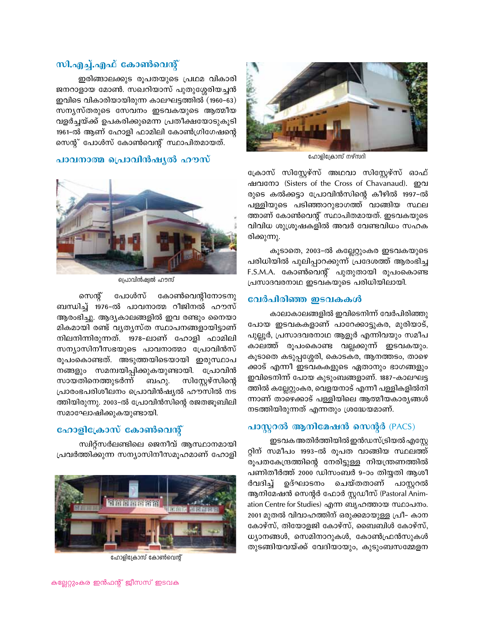

ഹോളിക്രോസ് നഴ്സറി

ക്രോസ് സിസ്റ്റേഴ്സ് അഥവാ സിസ്റ്റേഴ്സ് ഓഫ് ഷവനോ (Sisters of the Cross of Chavanaud). ഇവ രുടെ കൽക്കട്ടാ പ്രോവിൻസിന്റെ കീഴിൽ 1997–ൽ പള്ളിയുടെ പടിഞ്ഞാറുഭാഗത്ത് വാങ്ങിയ സ്ഥല ത്താണ് കോൺവെന്റ് സ്ഥാപിതമായത്. ഇടവകയുടെ വിവിധ ശുശ്രൂഷകളിൽ അവർ വേണ്ടവിധം സഹക രിക്കുന്നു.

കൂടാതെ, 2003-ൽ കല്ലേറ്റുംകര ഇടവകയുടെ പരിധിയിൽ പുലിപ്പാറക്കുന്ന് പ്രദേശത്ത് ആരംഭിച്ച F.S.M.A. കോൺവെന്റ് പുതുതായി രൂപംകൊണ്ട പ്രസാദവരനാഥ ഇടവകയുടെ പരിധിയിലായി.

### വേർപിരിഞ്ഞ ഇടവകകൾ

കാലാകാലങ്ങളിൽ ഇവിടെനിന്ന് വേർപിരിഞ്ഞു പോയ ഇടവകകളാണ് പാറേക്കാട്ടുകര, മുരിയാട്, പുല്ലൂർ, പ്രസാദവരനാഥ ആളൂർ എന്നിവയും സമീപ കാലത്ത് രൂപംകൊണ്ട വല്ലക്കുന്ന് ഇടവകയും. കൂടാതെ കടുപ്പശ്ശേരി, കൊടകര, ആനത്തടം, താഴെ ക്കാട് എന്നീ ഇടവകകളുടെ ഏതാനും ഭാഗങ്ങളും ഇവിടെനിന്ന് പോയ കുടുംബങ്ങളാണ്. 1887–കാലഘട്ട ത്തിൽ കല്ലേറ്റുംകര, വെളയനാട് എന്നീ പള്ളികളിൽനി ന്നാണ് താഴെക്കാട് പള്ളിയിലെ ആത്മീയകാര്യങ്ങൾ നടത്തിയിരുന്നത് എന്നതും ശ്രദ്ധേയമാണ്.

# പാസ്റ്ററൽ ആനിമേഷൻ സെന്റർ (PACS)

ഇടവക അതിർത്തിയിൽ ഇൻഡസ്ട്രിയൽ എസ്റ്റേ റ്റിന് സമീപം 1993–ൽ രൂപത വാങ്ങിയ സ്ഥലത്ത് രൂപതകേന്ദ്രത്തിന്റെ നേരിട്ടുള്ള നിയന്ത്രണത്തിൽ പണിതീർത്ത് 2000 ഡിസംബർ 9–ാം തിയ്യതി ആശീ ർവദിച്ച് ഉദ്ഘാടനം ചെയ്തതാണ് പാസ്റ്ററൽ ആനിമേഷൻ സെന്റർ ഫോർ സ്റ്റഡീസ് (Pastoral Animation Centre for Studies) എന്ന ബൃഹത്തായ സ്ഥാപനം. 2001 മുതൽ വിവാഹത്തിന് ഒരുക്കമായുള്ള പ്രീ– കാന കോഴ്സ്, തിയോളജി കോഴ്സ്, ബൈബിൾ കോഴ്സ്, ധ്യാനങ്ങൾ, സെമിനാറുകൾ, കോൺഫ്രൻസുകൾ തുടങ്ങിയവയ്ക്ക് വേദിയായും, കുടുംബസമ്മേളന

# സി.എച്ച്.എഫ് കോൺവെന്റ്

ഇരിങ്ങാലക്കുട രൂപതയുടെ പ്രഥമ വികാരി ജനറാളായ മോൺ. സഖറിയാസ് പുതുശ്ശേരിയച്ചൻ ഇവിടെ വികാരിയായിരുന്ന കാലഘട്ടത്തിൽ (1960–63) സന്യസ്തരുടെ സേവനം ഇടവകയുടെ ആത്മീയ വളർച്ചയ്ക്ക് ഉപകരിക്കുമെന്ന പ്രതീക്ഷയോടുകൂടി 1961–ൽ ആണ് ഹോളി ഫാമിലി കോൺഗ്രിഗേഷന്റെ സെന്റ് പോൾസ് കോൺവെന്റ് സ്ഥാപിതമായത്.

### പാവനാത്മ പ്രൊവിൻഷ്യൽ ഹൗസ്



പ്രൊവിൻഷ്വൽ ഹൗസ്

സെന്റ് പോൾസ് കോൺവെന്റിനോടനു ബന്ധിച്ച് 1976-ൽ പാവനാത്മ റീജിനൽ ഹൗസ് ആരംഭിച്ചു. ആദ്യകാലങ്ങളിൽ ഇവ രണ്ടും നൈയാ മികമായി രണ്ട് വൃതൃസ്ത സ്ഥാപനങ്ങളായിട്ടാണ് നിലനിന്നിരുന്നത്. 1978–ലാണ് ഹോളി ഫാമിലി സന്യാസിനീസഭയുടെ പാവനാത്മാ പ്രോവിൻസ് രൂപംകൊണ്ടത്. അടുത്തയിടെയായി ഇരുസ്ഥാപ നങ്ങളും സമന്വയിപ്പിക്കുകയുണ്ടായി. പ്രോവിൻ സായതിനെത്തുടർന്ന് ബഹു. സിസ്റ്റേഴ്സിന്റെ പ്രാരംഭപരിശീലനം പ്രൊവിൻഷ്യൽ ഹൗസിൽ നട ത്തിയിരുന്നു. 2003-ൽ പ്രോവിൻസിന്റെ രജതജൂബിലി സമാഘോഷിക്കുകയുണ്ടായി.

# ഹോളിക്രോസ് കോൺവെന്റ്

സ്ഥിറ്റ്സർലണ്ടിലെ ജെനീവ് ആസ്ഥാനമായി പ്രവർത്തിക്കുന്ന സന്യാസിനീസമൂഹമാണ് ഹോളി



ഹോളിക്രോസ് കോൺവെന്റ്